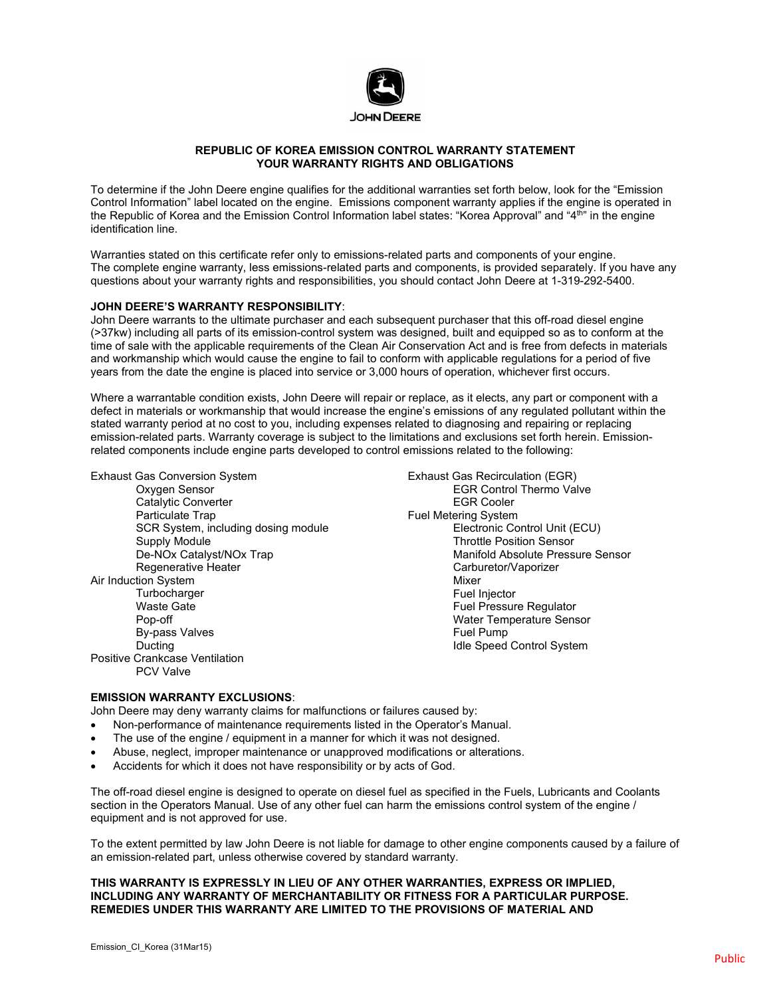

## **REPUBLIC OF KOREA EMISSION CONTROL WARRANTY STATEMENT YOUR WARRANTY RIGHTS AND OBLIGATIONS**

To determine if the John Deere engine qualifies for the additional warranties set forth below, look for the "Emission Control Information" label located on the engine. Emissions component warranty applies if the engine is operated in the Republic of Korea and the Emission Control Information label states: "Korea Approval" and "4<sup>th</sup>" in the engine identification line.

Warranties stated on this certificate refer only to emissions-related parts and components of your engine. The complete engine warranty, less emissions-related parts and components, is provided separately. If you have any questions about your warranty rights and responsibilities, you should contact John Deere at 1-319-292-5400.

## **JOHN DEERE'S WARRANTY RESPONSIBILITY**:

John Deere warrants to the ultimate purchaser and each subsequent purchaser that this off-road diesel engine (>37kw) including all parts of its emission-control system was designed, built and equipped so as to conform at the time of sale with the applicable requirements of the Clean Air Conservation Act and is free from defects in materials and workmanship which would cause the engine to fail to conform with applicable regulations for a period of five years from the date the engine is placed into service or 3,000 hours of operation, whichever first occurs.

Where a warrantable condition exists, John Deere will repair or replace, as it elects, any part or component with a defect in materials or workmanship that would increase the engine's emissions of any regulated pollutant within the stated warranty period at no cost to you, including expenses related to diagnosing and repairing or replacing emission-related parts. Warranty coverage is subject to the limitations and exclusions set forth herein. Emissionrelated components include engine parts developed to control emissions related to the following:

Exhaust Gas Conversion System Oxygen Sensor Catalytic Converter Particulate Trap SCR System, including dosing module Supply Module De-NOx Catalyst/NOx Trap Regenerative Heater Air Induction System **Turbocharger** Waste Gate Pop-off By-pass Valves Ducting Positive Crankcase Ventilation PCV Valve

Exhaust Gas Recirculation (EGR) EGR Control Thermo Valve EGR Cooler Fuel Metering System Electronic Control Unit (ECU) Throttle Position Sensor Manifold Absolute Pressure Sensor Carburetor/Vaporizer Mixer Fuel Injector Fuel Pressure Regulator Water Temperature Sensor Fuel Pump Idle Speed Control System

## **EMISSION WARRANTY EXCLUSIONS**:

John Deere may deny warranty claims for malfunctions or failures caused by:

- Non-performance of maintenance requirements listed in the Operator's Manual.
- The use of the engine / equipment in a manner for which it was not designed.
- Abuse, neglect, improper maintenance or unapproved modifications or alterations.
- Accidents for which it does not have responsibility or by acts of God.

The off-road diesel engine is designed to operate on diesel fuel as specified in the Fuels, Lubricants and Coolants section in the Operators Manual. Use of any other fuel can harm the emissions control system of the engine / equipment and is not approved for use.

To the extent permitted by law John Deere is not liable for damage to other engine components caused by a failure of an emission-related part, unless otherwise covered by standard warranty.

## **THIS WARRANTY IS EXPRESSLY IN LIEU OF ANY OTHER WARRANTIES, EXPRESS OR IMPLIED, INCLUDING ANY WARRANTY OF MERCHANTABILITY OR FITNESS FOR A PARTICULAR PURPOSE. REMEDIES UNDER THIS WARRANTY ARE LIMITED TO THE PROVISIONS OF MATERIAL AND**